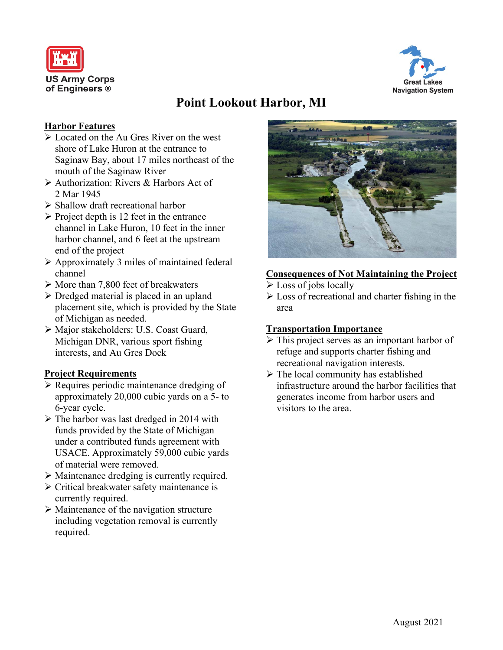



# **Point Lookout Harbor, MI**

## **Harbor Features**

- Located on the Au Gres River on the west shore of Lake Huron at the entrance to Saginaw Bay, about 17 miles northeast of the mouth of the Saginaw River
- Authorization: Rivers & Harbors Act of 2 Mar 1945
- $\triangleright$  Shallow draft recreational harbor
- $\triangleright$  Project depth is 12 feet in the entrance channel in Lake Huron, 10 feet in the inner harbor channel, and 6 feet at the upstream end of the project
- Approximately 3 miles of maintained federal channel
- $\triangleright$  More than 7,800 feet of breakwaters
- $\triangleright$  Dredged material is placed in an upland placement site, which is provided by the State of Michigan as needed.
- Major stakeholders: U.S. Coast Guard, Michigan DNR, various sport fishing interests, and Au Gres Dock

## **Project Requirements**

- $\triangleright$  Requires periodic maintenance dredging of approximately 20,000 cubic yards on a 5- to 6-year cycle.
- $\triangleright$  The harbor was last dredged in 2014 with funds provided by the State of Michigan under a contributed funds agreement with USACE. Approximately 59,000 cubic yards of material were removed.
- Maintenance dredging is currently required.
- $\triangleright$  Critical breakwater safety maintenance is currently required.
- $\triangleright$  Maintenance of the navigation structure including vegetation removal is currently required.



# **Consequences of Not Maintaining the Project**

- $\triangleright$  Loss of jobs locally
- $\triangleright$  Loss of recreational and charter fishing in the area

#### **Transportation Importance**

- $\triangleright$  This project serves as an important harbor of refuge and supports charter fishing and recreational navigation interests.
- $\triangleright$  The local community has established infrastructure around the harbor facilities that generates income from harbor users and visitors to the area.